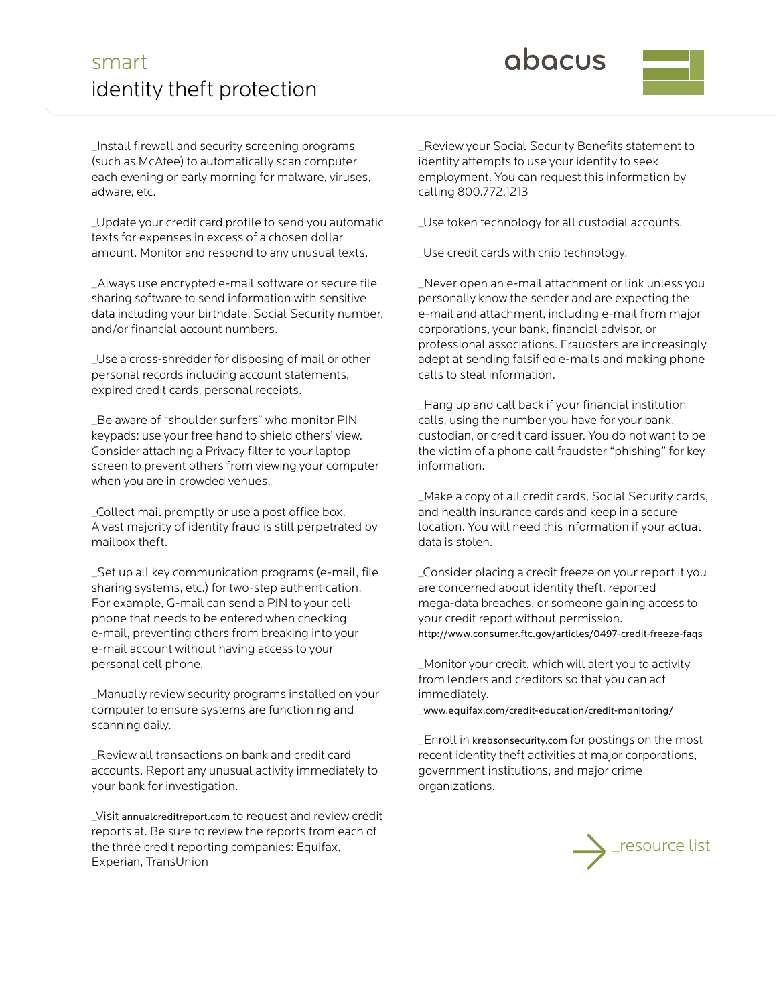## smart identity theft protection

obocus



\_Install firewall and security screening programs (such as McAfee) to automatically scan computer each evening or early morning for malware, viruses, adware, etc.

\_Update your credit card profile to send you automatic texts for expenses in excess of a chosen dollar amount. Monitor and respond to any unusual texts.

\_Always use encrypted e-mail software or secure file sharing software to send information with sensitive data including your birthdate, Social Security number, and/or financial account numbers.

\_Use a cross-shredder for disposing of mail or other personal records including account statements, expired credit cards, personal receipts.

\_Be aware of "shoulder surfers" who monitor PIN keypads: use your free hand to shield others' view. Consider attaching a Privacy filter to your laptop screen to prevent others from viewing your computer when you are in crowded venues.

\_Collect mail promptly or use a post office box. A vast majority of identity fraud is still perpetrated by mailbox theft.

\_Set up all key communication programs (e-mail, file sharing systems, etc.) for two-step authentication. For example, G-mail can send a PIN to your cell phone that needs to be entered when checking e-mail, preventing others from breaking into your e-mail account without having access to your personal cell phone.

\_Manually review security programs installed on your computer to ensure systems are functioning and scanning daily.

\_Review all transactions on bank and credit card accounts. Report any unusual activity immediately to your bank for investigation.

\_Visit annualcreditreport.com to request and review credit reports at. Be sure to review the reports from each of the three credit reporting companies: Equifax, Experian, TransUnion

\_Review your Social Security Benefits statement to identify attempts to use your identity to seek employment. You can request this information by calling 800.772.1213

\_Use token technology for all custodial accounts.

\_Use credit cards with chip technology.

\_Never open an e-mail attachment or link unless you personally know the sender and are expecting the e-mail and attachment, including e-mail from major corporations, your bank, financial advisor, or professional associations. Fraudsters are increasingly adept at sending falsified e-mails and making phone calls to steal information.

\_Hang up and call back if your financial institution calls, using the number you have for your bank, custodian, or credit card issuer. You do not want to be the victim of a phone call fraudster "phishing" for key information.

\_Make a copy of all credit cards, Social Security cards, and health insurance cards and keep in a secure location. You will need this information if your actual data is stolen.

\_Consider placing a credit freeze on your report it you are concerned about identity theft, reported mega-data breaches, or someone gaining access to your credit report without permission. http://www.consumer.ftc.gov/articles/0497-credit-freeze-faqs

\_Monitor your credit, which will alert you to activity from lenders and creditors so that you can act immediately.

\_www.equifax.com/credit-education/credit-monitoring/

\_Enroll in krebsonsecurity.com for postings on the most recent identity theft activities at major corporations, government institutions, and major crime organizations.